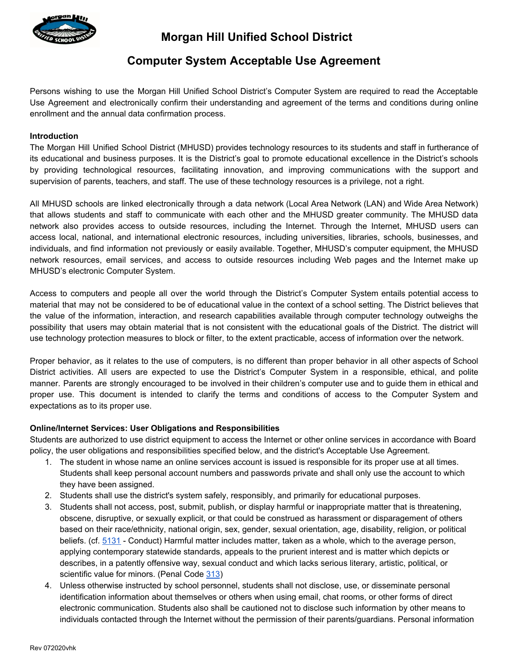

# **Morgan Hill Unified School District**

## **Computer System Acceptable Use Agreement**

Persons wishing to use the Morgan Hill Unified School District's Computer System are required to read the Acceptable Use Agreement and electronically confirm their understanding and agreement of the terms and conditions during online enrollment and the annual data confirmation process.

### **Introduction**

The Morgan Hill Unified School District (MHUSD) provides technology resources to its students and staff in furtherance of its educational and business purposes. It is the District's goal to promote educational excellence in the District's schools by providing technological resources, facilitating innovation, and improving communications with the support and supervision of parents, teachers, and staff. The use of these technology resources is a privilege, not a right.

All MHUSD schools are linked electronically through a data network (Local Area Network (LAN) and Wide Area Network) that allows students and staff to communicate with each other and the MHUSD greater community. The MHUSD data network also provides access to outside resources, including the Internet. Through the Internet, MHUSD users can access local, national, and international electronic resources, including universities, libraries, schools, businesses, and individuals, and find information not previously or easily available. Together, MHUSD's computer equipment, the MHUSD network resources, email services, and access to outside resources including Web pages and the Internet make up MHUSD's electronic Computer System.

Access to computers and people all over the world through the District's Computer System entails potential access to material that may not be considered to be of educational value in the context of a school setting. The District believes that the value of the information, interaction, and research capabilities available through computer technology outweighs the possibility that users may obtain material that is not consistent with the educational goals of the District. The district will use technology protection measures to block or filter, to the extent practicable, access of information over the network.

Proper behavior, as it relates to the use of computers, is no different than proper behavior in all other aspects of School District activities. All users are expected to use the District's Computer System in a responsible, ethical, and polite manner. Parents are strongly encouraged to be involved in their children's computer use and to guide them in ethical and proper use. This document is intended to clarify the terms and conditions of access to the Computer System and expectations as to its proper use.

### **Online/Internet Services: User Obligations and Responsibilities**

Students are authorized to use district equipment to access the Internet or other online services in accordance with Board policy, the user obligations and responsibilities specified below, and the district's Acceptable Use Agreement.

- 1. The student in whose name an online services account is issued is responsible for its proper use at all times. Students shall keep personal account numbers and passwords private and shall only use the account to which they have been assigned.
- 2. Students shall use the district's system safely, responsibly, and primarily for educational purposes.
- 3. Students shall not access, post, submit, publish, or display harmful or inappropriate matter that is threatening, obscene, disruptive, or sexually explicit, or that could be construed as harassment or disparagement of others based on their race/ethnicity, national origin, sex, gender, sexual orientation, age, disability, religion, or political beliefs. (cf. [5131](http://www.gamutonline.net/district/morganhill/displayPolicy/797848/) - Conduct) Harmful matter includes matter, taken as a whole, which to the average person, applying contemporary statewide standards, appeals to the prurient interest and is matter which depicts or describes, in a patently offensive way, sexual conduct and which lacks serious literary, artistic, political, or scientific value for minors. (Penal Code [313\)](http://www.gamutonline.net/district/morganhill/displayPolicy/169618/)
- 4. Unless otherwise instructed by school personnel, students shall not disclose, use, or disseminate personal identification information about themselves or others when using email, chat rooms, or other forms of direct electronic communication. Students also shall be cautioned not to disclose such information by other means to individuals contacted through the Internet without the permission of their parents/guardians. Personal information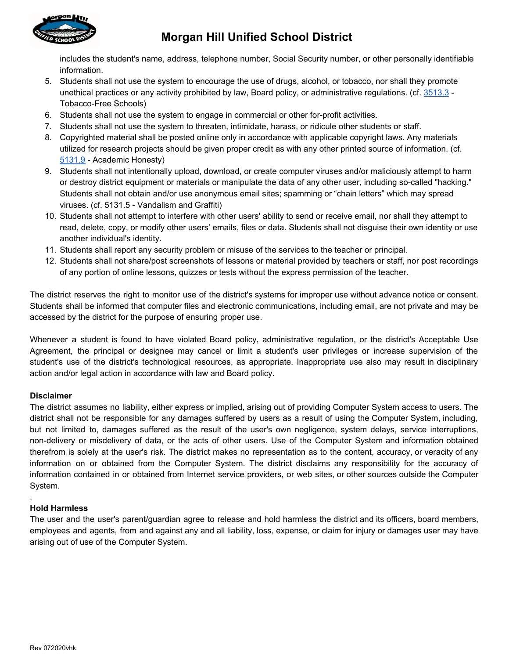

# **Morgan Hill Unified School District**

includes the student's name, address, telephone number, Social Security number, or other personally identifiable information.

- 5. Students shall not use the system to encourage the use of drugs, alcohol, or tobacco, nor shall they promote unethical practices or any activity prohibited by law, Board policy, or administrative regulations. (cf. [3513.3](http://www.gamutonline.net/district/morganhill/displayPolicy/797522/) -Tobacco-Free Schools)
- 6. Students shall not use the system to engage in commercial or other for-profit activities.
- 7. Students shall not use the system to threaten, intimidate, harass, or ridicule other students or staff.
- 8. Copyrighted material shall be posted online only in accordance with applicable copyright laws. Any materials utilized for research projects should be given proper credit as with any other printed source of information. (cf. [5131.9](http://www.gamutonline.net/district/morganhill/displayPolicy/797862/) - Academic Honesty)
- 9. Students shall not intentionally upload, download, or create computer viruses and/or maliciously attempt to harm or destroy district equipment or materials or manipulate the data of any other user, including so-called "hacking." Students shall not obtain and/or use anonymous email sites; spamming or "chain letters" which may spread viruses. (cf. 5131.5 - Vandalism and Graffiti)
- 10. Students shall not attempt to interfere with other users' ability to send or receive email, nor shall they attempt to read, delete, copy, or modify other users' emails, files or data. Students shall not disguise their own identity or use another individual's identity.
- 11. Students shall report any security problem or misuse of the services to the teacher or principal.
- 12. Students shall not share/post screenshots of lessons or material provided by teachers or staff, nor post recordings of any portion of online lessons, quizzes or tests without the express permission of the teacher.

The district reserves the right to monitor use of the district's systems for improper use without advance notice or consent. Students shall be informed that computer files and electronic communications, including email, are not private and may be accessed by the district for the purpose of ensuring proper use.

Whenever a student is found to have violated Board policy, administrative regulation, or the district's Acceptable Use Agreement, the principal or designee may cancel or limit a student's user privileges or increase supervision of the student's use of the district's technological resources, as appropriate. Inappropriate use also may result in disciplinary action and/or legal action in accordance with law and Board policy.

### **Disclaimer**

The district assumes no liability, either express or implied, arising out of providing Computer System access to users. The district shall not be responsible for any damages suffered by users as a result of using the Computer System, including, but not limited to, damages suffered as the result of the user's own negligence, system delays, service interruptions, non-delivery or misdelivery of data, or the acts of other users. Use of the Computer System and information obtained therefrom is solely at the user's risk. The district makes no representation as to the content, accuracy, or veracity of any information on or obtained from the Computer System. The district disclaims any responsibility for the accuracy of information contained in or obtained from Internet service providers, or web sites, or other sources outside the Computer System.

### **Hold Harmless**

.

The user and the user's parent/guardian agree to release and hold harmless the district and its officers, board members, employees and agents, from and against any and all liability, loss, expense, or claim for injury or damages user may have arising out of use of the Computer System.